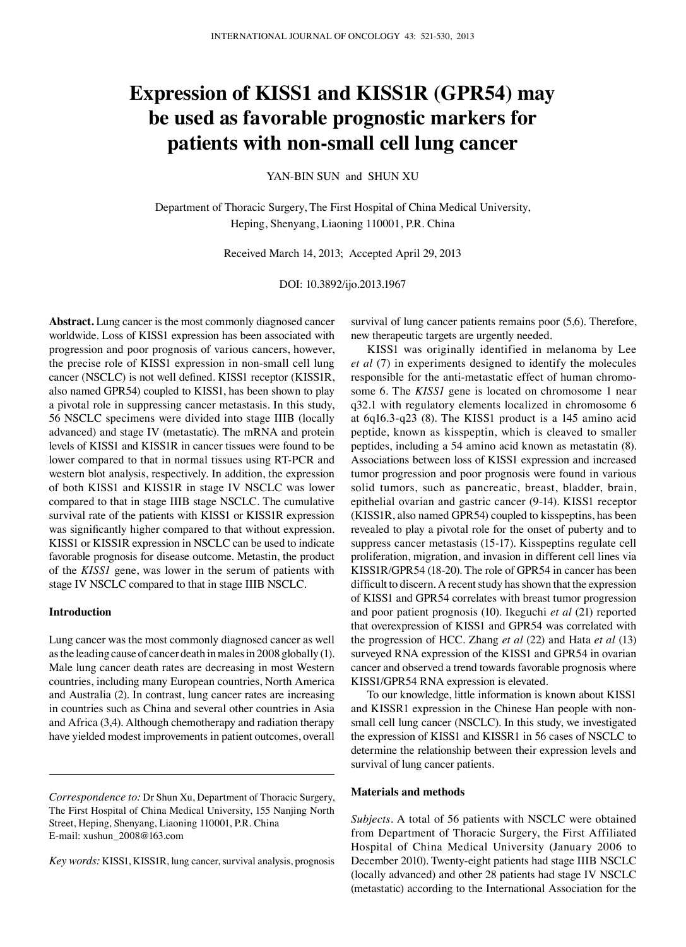# **Expression of KISS1 and KISS1R (GPR54) may be used as favorable prognostic markers for patients with non-small cell lung cancer**

YAN-BIN SUN and SHUN XU

Department of Thoracic Surgery, The First Hospital of China Medical University, Heping, Shenyang, Liaoning 110001, P.R. China

Received March 14, 2013; Accepted April 29, 2013

DOI: 10.3892/ijo.2013.1967

**Abstract.** Lung cancer is the most commonly diagnosed cancer worldwide. Loss of KISS1 expression has been associated with progression and poor prognosis of various cancers, however, the precise role of KISS1 expression in non-small cell lung cancer (NSCLC) is not well defined. KISS1 receptor (KISS1R, also named GPR54) coupled to KISS1, has been shown to play a pivotal role in suppressing cancer metastasis. In this study, 56 NSCLC specimens were divided into stage IIIB (locally advanced) and stage IV (metastatic). The mRNA and protein levels of KISS1 and KISS1R in cancer tissues were found to be lower compared to that in normal tissues using RT-PCR and western blot analysis, respectively. In addition, the expression of both KISS1 and KISS1R in stage IV NSCLC was lower compared to that in stage IIIB stage NSCLC. The cumulative survival rate of the patients with KISS1 or KISS1R expression was significantly higher compared to that without expression. KISS1 or KISS1R expression in NSCLC can be used to indicate favorable prognosis for disease outcome. Metastin, the product of the *KISS1* gene, was lower in the serum of patients with stage IV NSCLC compared to that in stage IIIB NSCLC.

## **Introduction**

Lung cancer was the most commonly diagnosed cancer as well as the leading cause of cancer death in males in 2008 globally (1). Male lung cancer death rates are decreasing in most Western countries, including many European countries, North America and Australia (2). In contrast, lung cancer rates are increasing in countries such as China and several other countries in Asia and Africa (3,4). Although chemotherapy and radiation therapy have yielded modest improvements in patient outcomes, overall

*Key words:* KISS1, KISS1R, lung cancer, survival analysis, prognosis

survival of lung cancer patients remains poor (5,6). Therefore, new therapeutic targets are urgently needed.

KISS1 was originally identified in melanoma by Lee *et al* (7) in experiments designed to identify the molecules responsible for the anti-metastatic effect of human chromosome 6. The *KISS1* gene is located on chromosome 1 near q32.1 with regulatory elements localized in chromosome 6 at 6q16.3-q23 (8). The KISS1 product is a 145 amino acid peptide, known as kisspeptin, which is cleaved to smaller peptides, including a 54 amino acid known as metastatin (8). Associations between loss of KISS1 expression and increased tumor progression and poor prognosis were found in various solid tumors, such as pancreatic, breast, bladder, brain, epithelial ovarian and gastric cancer (9-14). KISS1 receptor (KISS1R, also named GPR54) coupled to kisspeptins, has been revealed to play a pivotal role for the onset of puberty and to suppress cancer metastasis (15-17). Kisspeptins regulate cell proliferation, migration, and invasion in different cell lines via KISS1R/GPR54 (18-20). The role of GPR54 in cancer has been difficult to discern. A recent study has shown that the expression of KISS1 and GPR54 correlates with breast tumor progression and poor patient prognosis (10). Ikeguchi *et al* (21) reported that overexpression of KISS1 and GPR54 was correlated with the progression of HCC. Zhang *et al* (22) and Hata *et al* (13) surveyed RNA expression of the KISS1 and GPR54 in ovarian cancer and observed a trend towards favorable prognosis where KISS1/GPR54 RNA expression is elevated.

To our knowledge, little information is known about KISS1 and KISSR1 expression in the Chinese Han people with nonsmall cell lung cancer (NSCLC). In this study, we investigated the expression of KISS1 and KISSR1 in 56 cases of NSCLC to determine the relationship between their expression levels and survival of lung cancer patients.

## **Materials and methods**

*Subjects.* A total of 56 patients with NSCLC were obtained from Department of Thoracic Surgery, the First Affiliated Hospital of China Medical University (January 2006 to December 2010). Twenty-eight patients had stage IIIB NSCLC (locally advanced) and other 28 patients had stage IV NSCLC (metastatic) according to the International Association for the

*Correspondence to:* Dr Shun Xu, Department of Thoracic Surgery, The First Hospital of China Medical University, 155 Nanjing North Street, Heping, Shenyang, Liaoning 110001, P.R. China E-mail: xushun\_2008@163.com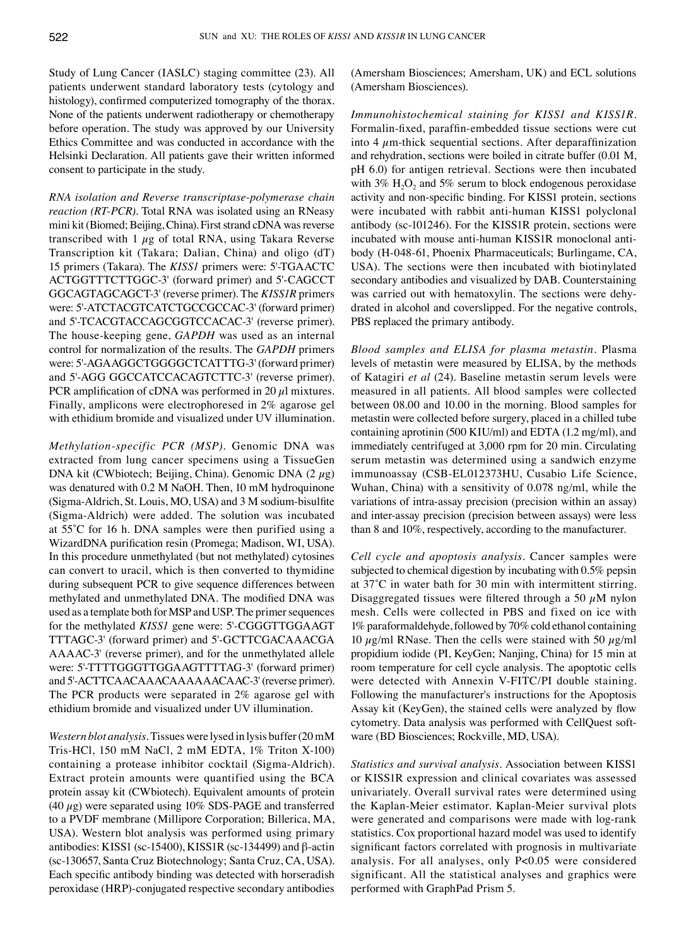Study of Lung Cancer (IASLC) staging committee (23). All patients underwent standard laboratory tests (cytology and histology), confirmed computerized tomography of the thorax. None of the patients underwent radiotherapy or chemotherapy before operation. The study was approved by our University Ethics Committee and was conducted in accordance with the Helsinki Declaration. All patients gave their written informed consent to participate in the study.

*RNA isolation and Reverse transcriptase-polymerase chain reaction (RT-PCR).* Total RNA was isolated using an RNeasy mini kit (Biomed; Beijing, China). First strand cDNA was reverse transcribed with  $1 \mu$ g of total RNA, using Takara Reverse Transcription kit (Takara; Dalian, China) and oligo (dT) 15 primers (Takara). The *KISS1* primers were: 5'-TGAACTC ACTGGTTTCTTGGC-3' (forward primer) and 5'-CAGCCT GGCAGTAGCAGCT-3' (reverse primer). The *KISS1R* primers were: 5'-ATCTACGTCATCTGCCGCCAC-3' (forward primer) and 5'-TCACGTACCAGCGGTCCACAC-3' (reverse primer). The house-keeping gene, *GAPDH* was used as an internal control for normalization of the results. The *GAPDH* primers were: 5'-AGAAGGCTGGGGCTCATTTG-3' (forward primer) and 5'-AGG GGCCATCCACAGTCTTC-3' (reverse primer). PCR amplification of cDNA was performed in 20  $\mu$ l mixtures. Finally, amplicons were electrophoresed in 2% agarose gel with ethidium bromide and visualized under UV illumination.

*Methylation-specific PCR (MSP).* Genomic DNA was extracted from lung cancer specimens using a TissueGen DNA kit (CWbiotech; Beijing, China). Genomic DNA  $(2 \mu g)$ was denatured with 0.2 M NaOH. Then, 10 mM hydroquinone (Sigma‑Aldrich, St. Louis, MO, USA) and 3 M sodium-bisulfite (Sigma-Aldrich) were added. The solution was incubated at 55˚C for 16 h. DNA samples were then purified using a WizardDNA purification resin (Promega; Madison, WI, USA). In this procedure unmethylated (but not methylated) cytosines can convert to uracil, which is then converted to thymidine during subsequent PCR to give sequence differences between methylated and unmethylated DNA. The modified DNA was used as a template both for MSP and USP. The primer sequences for the methylated *KISS1* gene were: 5'-CGGGTTGGAAGT TTTAGC-3' (forward primer) and 5'-GCTTCGACAAACGA AAAAC-3' (reverse primer), and for the unmethylated allele were: 5'-TTTTGGGTTGGAAGTTTTAG-3' (forward primer) and 5'-ACTTCAACAAACAAAAAACAAC-3' (reverse primer). The PCR products were separated in 2% agarose gel with ethidium bromide and visualized under UV illumination.

*Western blot analysis.* Tissues were lysed in lysis buffer (20mM Tris-HCl, 150 mM NaCl, 2 mM EDTA, 1% Triton X-100) containing a protease inhibitor cocktail (Sigma-Aldrich). Extract protein amounts were quantified using the BCA protein assay kit (CWbiotech). Equivalent amounts of protein (40  $\mu$ g) were separated using 10% SDS-PAGE and transferred to a PVDF membrane (Millipore Corporation; Billerica, MA, USA). Western blot analysis was performed using primary antibodies: KISS1 (sc-15400), KISS1R (sc-134499) and β-actin (sc-130657, Santa Cruz Biotechnology; Santa Cruz, CA, USA). Each specific antibody binding was detected with horseradish peroxidase (HRP)-conjugated respective secondary antibodies (Amersham Biosciences; Amersham, UK) and ECL solutions (Amersham Biosciences).

*Immunohistochemical staining for KISS1 and KISS1R.*  Formalin-fixed, paraffin-embedded tissue sections were cut into 4  $\mu$ m-thick sequential sections. After deparaffinization and rehydration, sections were boiled in citrate buffer (0.01 M, pH 6.0) for antigen retrieval. Sections were then incubated with  $3\%$  H<sub>2</sub>O<sub>2</sub> and  $5\%$  serum to block endogenous peroxidase activity and non-specific binding. For KISS1 protein, sections were incubated with rabbit anti-human KISS1 polyclonal antibody (sc-101246). For the KISS1R protein, sections were incubated with mouse anti-human KISS1R monoclonal antibody (H-048-61, Phoenix Pharmaceuticals; Burlingame, CA, USA). The sections were then incubated with biotinylated secondary antibodies and visualized by DAB. Counterstaining was carried out with hematoxylin. The sections were dehydrated in alcohol and coverslipped. For the negative controls, PBS replaced the primary antibody.

*Blood samples and ELISA for plasma metastin.* Plasma levels of metastin were measured by ELISA, by the methods of Katagiri *et al* (24). Baseline metastin serum levels were measured in all patients. All blood samples were collected between 08.00 and 10.00 in the morning. Blood samples for metastin were collected before surgery, placed in a chilled tube containing aprotinin (500 KIU/ml) and EDTA (1.2 mg/ml), and immediately centrifuged at 3,000 rpm for 20 min. Circulating serum metastin was determined using a sandwich enzyme immunoassay (CSB-EL012373HU, Cusabio Life Science, Wuhan, China) with a sensitivity of 0.078 ng/ml, while the variations of intra-assay precision (precision within an assay) and inter-assay precision (precision between assays) were less than 8 and 10%, respectively, according to the manufacturer.

*Cell cycle and apoptosis analysis.* Cancer samples were subjected to chemical digestion by incubating with 0.5% pepsin at 37˚C in water bath for 30 min with intermittent stirring. Disaggregated tissues were filtered through a 50  $\mu$ M nylon mesh. Cells were collected in PBS and fixed on ice with 1% paraformaldehyde, followed by 70% cold ethanol containing 10  $\mu$ g/ml RNase. Then the cells were stained with 50  $\mu$ g/ml propidium iodide (PI, KeyGen; Nanjing, China) for 15 min at room temperature for cell cycle analysis. The apoptotic cells were detected with Annexin V-FITC/PI double staining. Following the manufacturer's instructions for the Apoptosis Assay kit (KeyGen), the stained cells were analyzed by flow cytometry. Data analysis was performed with CellQuest software (BD Biosciences; Rockville, MD, USA).

*Statistics and survival analysis.* Association between KISS1 or KISS1R expression and clinical covariates was assessed univariately. Overall survival rates were determined using the Kaplan-Meier estimator. Kaplan-Meier survival plots were generated and comparisons were made with log-rank statistics. Cox proportional hazard model was used to identify significant factors correlated with prognosis in multivariate analysis. For all analyses, only P<0.05 were considered significant. All the statistical analyses and graphics were performed with GraphPad Prism 5.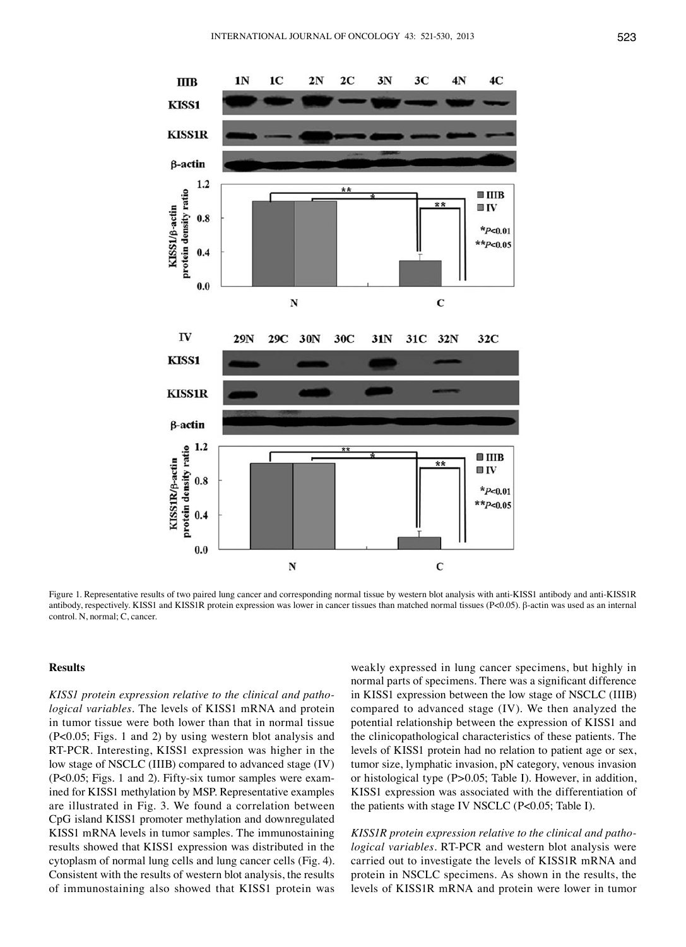

Figure 1. Representative results of two paired lung cancer and corresponding normal tissue by western blot analysis with anti-KISS1 antibody and anti-KISS1R antibody, respectively. KISS1 and KISS1R protein expression was lower in cancer tissues than matched normal tissues (P<0.05). β-actin was used as an internal control. N, normal; C, cancer.

# **Results**

*KISS1 protein expression relative to the clinical and pathological variables.* The levels of KISS1 mRNA and protein in tumor tissue were both lower than that in normal tissue (P<0.05; Figs. 1 and 2) by using western blot analysis and RT-PCR. Interesting, KISS1 expression was higher in the low stage of NSCLC (IIIB) compared to advanced stage (IV) (P<0.05; Figs. 1 and 2). Fifty-six tumor samples were examined for KISS1 methylation by MSP. Representative examples are illustrated in Fig. 3. We found a correlation between CpG island KISS1 promoter methylation and downregulated KISS1 mRNA levels in tumor samples. The immunostaining results showed that KISS1 expression was distributed in the cytoplasm of normal lung cells and lung cancer cells (Fig. 4). Consistent with the results of western blot analysis, the results of immunostaining also showed that KISS1 protein was weakly expressed in lung cancer specimens, but highly in normal parts of specimens. There was a significant difference in KISS1 expression between the low stage of NSCLC (IIIB) compared to advanced stage (IV). We then analyzed the potential relationship between the expression of KISS1 and the clinicopathological characteristics of these patients. The levels of KISS1 protein had no relation to patient age or sex, tumor size, lymphatic invasion, pN category, venous invasion or histological type (P>0.05; Table I). However, in addition, KISS1 expression was associated with the differentiation of the patients with stage IV NSCLC (P<0.05; Table I).

*KISS1R protein expression relative to the clinical and pathological variables.* RT-PCR and western blot analysis were carried out to investigate the levels of KISS1R mRNA and protein in NSCLC specimens. As shown in the results, the levels of KISS1R mRNA and protein were lower in tumor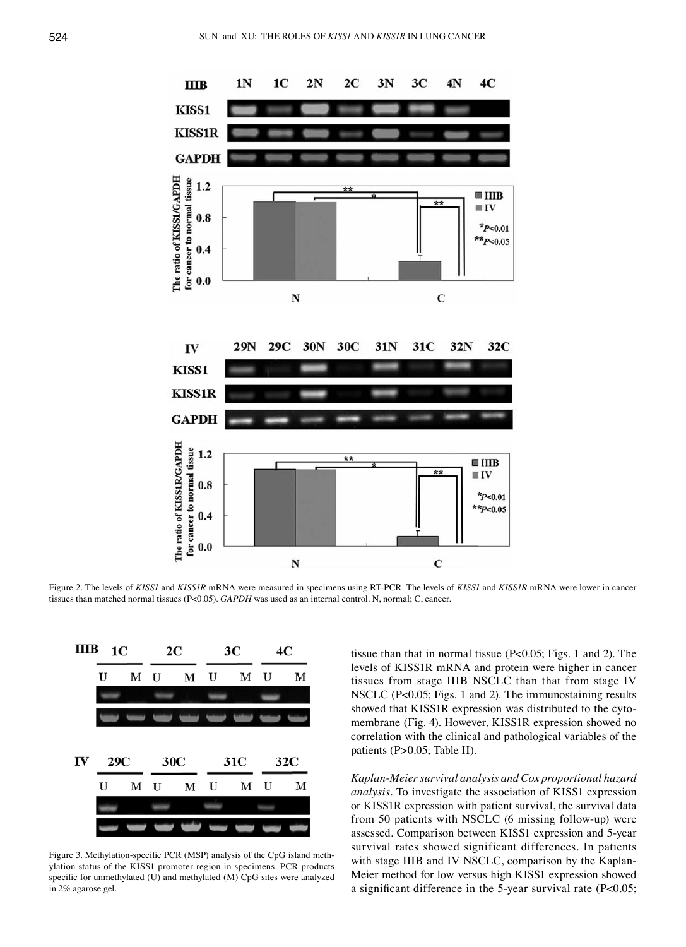

Figure 2. The levels of *KISS1* and *KISS1R* mRNA were measured in specimens using RT-PCR. The levels of *KISS1* and *KISS1R* mRNA were lower in cancer tissues than matched normal tissues (P<0.05). *GAPDH* was used as an internal control. N, normal; C, cancer.



Figure 3. Methylation-specific PCR (MSP) analysis of the CpG island methylation status of the KISS1 promoter region in specimens. PCR products specific for unmethylated (U) and methylated (M) CpG sites were analyzed in 2% agarose gel.

tissue than that in normal tissue (P<0.05; Figs. 1 and 2). The levels of KISS1R mRNA and protein were higher in cancer tissues from stage IIIB NSCLC than that from stage IV NSCLC (P<0.05; Figs. 1 and 2). The immunostaining results showed that KISS1R expression was distributed to the cytomembrane (Fig. 4). However, KISS1R expression showed no correlation with the clinical and pathological variables of the patients (P>0.05; Table II).

*Kaplan-Meier survival analysis and Cox proportional hazard analysis.* To investigate the association of KISS1 expression or KISS1R expression with patient survival, the survival data from 50 patients with NSCLC (6 missing follow-up) were assessed. Comparison between KISS1 expression and 5-year survival rates showed significant differences. In patients with stage IIIB and IV NSCLC, comparison by the Kaplan-Meier method for low versus high KISS1 expression showed a significant difference in the 5-year survival rate (P<0.05;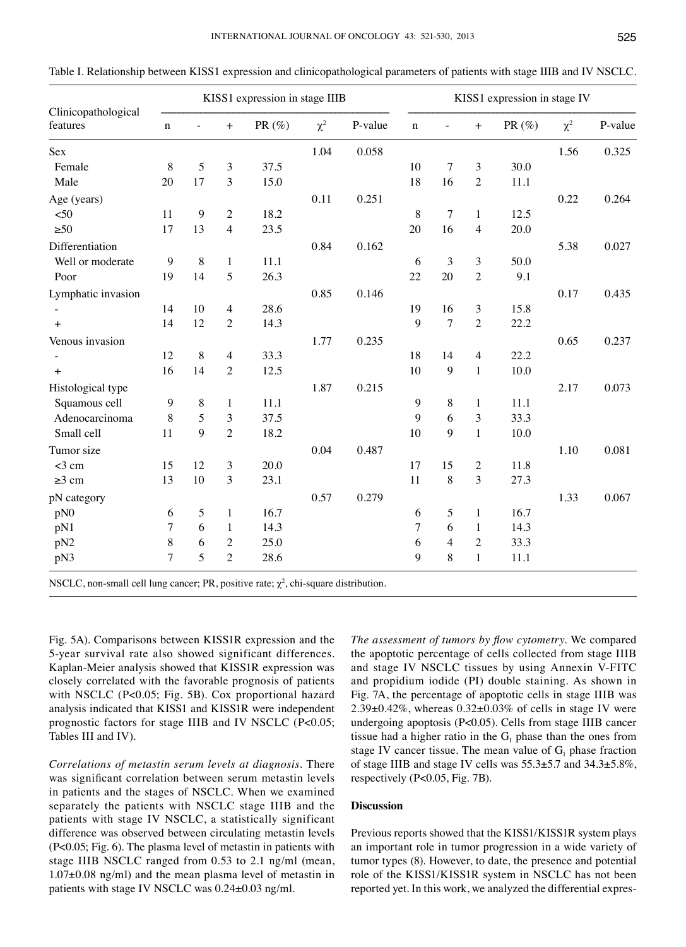| Clinicopathological<br>features | KISS1 expression in stage IIIB |    |                |           |          | KISS1 expression in stage IV |             |       |                |           |          |         |
|---------------------------------|--------------------------------|----|----------------|-----------|----------|------------------------------|-------------|-------|----------------|-----------|----------|---------|
|                                 | $\mathbf n$                    |    | $+$            | PR $(\%)$ | $\chi^2$ | P-value                      | $\mathbf n$ |       | $+$            | PR $(\%)$ | $\chi^2$ | P-value |
| Sex                             |                                |    |                |           | 1.04     | 0.058                        |             |       |                |           | 1.56     | 0.325   |
| Female                          | $\,8\,$                        | 5  | 3              | 37.5      |          |                              | 10          | 7     | 3              | 30.0      |          |         |
| Male                            | 20                             | 17 | 3              | 15.0      |          |                              | 18          | 16    | $\overline{2}$ | 11.1      |          |         |
| Age (years)                     |                                |    |                |           | 0.11     | 0.251                        |             |       |                |           | 0.22     | 0.264   |
| < 50                            | 11                             | 9  | $\mathbf{2}$   | 18.2      |          |                              | $\,$ 8 $\,$ | 7     | $\mathbf{1}$   | 12.5      |          |         |
| $\geq 50$                       | 17                             | 13 | $\overline{4}$ | 23.5      |          |                              | 20          | 16    | $\overline{4}$ | 20.0      |          |         |
| Differentiation                 |                                |    |                |           | 0.84     | 0.162                        |             |       |                |           | 5.38     | 0.027   |
| Well or moderate                | 9                              | 8  | 1              | 11.1      |          |                              | 6           | 3     | 3              | 50.0      |          |         |
| Poor                            | 19                             | 14 | 5              | 26.3      |          |                              | 22          | 20    | $\overline{2}$ | 9.1       |          |         |
| Lymphatic invasion              |                                |    |                |           | 0.85     | 0.146                        |             |       |                |           | 0.17     | 0.435   |
|                                 | 14                             | 10 | $\overline{4}$ | 28.6      |          |                              | 19          | 16    | 3              | 15.8      |          |         |
| $+$                             | 14                             | 12 | $\overline{2}$ | 14.3      |          |                              | 9           | 7     | $\overline{2}$ | 22.2      |          |         |
| Venous invasion                 |                                |    |                |           | 1.77     | 0.235                        |             |       |                |           | 0.65     | 0.237   |
|                                 | 12                             | 8  | $\overline{4}$ | 33.3      |          |                              | 18          | 14    | $\overline{4}$ | 22.2      |          |         |
| $\boldsymbol{+}$                | 16                             | 14 | $\sqrt{2}$     | 12.5      |          |                              | 10          | 9     | $\mathbf{1}$   | 10.0      |          |         |
| Histological type               |                                |    |                |           | 1.87     | 0.215                        |             |       |                |           | 2.17     | 0.073   |
| Squamous cell                   | $\boldsymbol{9}$               | 8  | $\mathbf{1}$   | 11.1      |          |                              | 9           | $8\,$ | $\mathbf{1}$   | 11.1      |          |         |
| Adenocarcinoma                  | $\,$ 8 $\,$                    | 5  | 3              | 37.5      |          |                              | 9           | 6     | 3              | 33.3      |          |         |
| Small cell                      | 11                             | 9  | $\overline{2}$ | 18.2      |          |                              | 10          | 9     | $\mathbf{1}$   | 10.0      |          |         |
| Tumor size                      |                                |    |                |           | 0.04     | 0.487                        |             |       |                |           | 1.10     | 0.081   |
| $<$ 3 cm                        | 15                             | 12 | 3              | 20.0      |          |                              | 17          | 15    | $\sqrt{2}$     | 11.8      |          |         |
| $\geq$ 3 cm                     | 13                             | 10 | 3              | 23.1      |          |                              | 11          | 8     | 3              | 27.3      |          |         |
| pN category                     |                                |    |                |           | 0.57     | 0.279                        |             |       |                |           | 1.33     | 0.067   |
| pN0                             | 6                              | 5  | 1              | 16.7      |          |                              | 6           | 5     | $\mathbf{1}$   | 16.7      |          |         |
| pN1                             | 7                              | 6  | 1              | 14.3      |          |                              | 7           | 6     | 1              | 14.3      |          |         |
| pN <sub>2</sub>                 | 8                              | 6  | $\mathfrak{2}$ | 25.0      |          |                              | 6           | 4     | $\overline{2}$ | 33.3      |          |         |
| pN3                             | 7                              | 5  | $\overline{2}$ | 28.6      |          |                              | 9           | 8     | $\mathbf{1}$   | 11.1      |          |         |

Table I. Relationship between KISS1 expression and clinicopathological parameters of patients with stage IIIB and IV NSCLC.

Fig. 5A). Comparisons between KISS1R expression and the 5-year survival rate also showed significant differences. Kaplan-Meier analysis showed that KISS1R expression was closely correlated with the favorable prognosis of patients with NSCLC (P<0.05; Fig. 5B). Cox proportional hazard analysis indicated that KISS1 and KISS1R were independent prognostic factors for stage IIIB and IV NSCLC (P<0.05; Tables III and IV).

*Correlations of metastin serum levels at diagnosis.* There was significant correlation between serum metastin levels in patients and the stages of NSCLC. When we examined separately the patients with NSCLC stage IIIB and the patients with stage IV NSCLC, a statistically significant difference was observed between circulating metastin levels (P<0.05; Fig. 6). The plasma level of metastin in patients with stage IIIB NSCLC ranged from 0.53 to 2.1 ng/ml (mean, 1.07±0.08 ng/ml) and the mean plasma level of metastin in patients with stage IV NSCLC was 0.24±0.03 ng/ml.

*The assessment of tumors by flow cytometry.* We compared the apoptotic percentage of cells collected from stage IIIB and stage IV NSCLC tissues by using Annexin V-FITC and propidium iodide (PI) double staining. As shown in Fig. 7A, the percentage of apoptotic cells in stage IIIB was  $2.39\pm0.42\%$ , whereas  $0.32\pm0.03\%$  of cells in stage IV were undergoing apoptosis (P<0.05). Cells from stage IIIB cancer tissue had a higher ratio in the  $G_1$  phase than the ones from stage IV cancer tissue. The mean value of  $G_1$  phase fraction of stage IIIB and stage IV cells was 55.3±5.7 and 34.3±5.8%, respectively (P<0.05, Fig. 7B).

# **Discussion**

Previous reports showed that the KISS1/KISS1R system plays an important role in tumor progression in a wide variety of tumor types (8). However, to date, the presence and potential role of the KISS1/KISS1R system in NSCLC has not been reported yet. In this work, we analyzed the differential expres-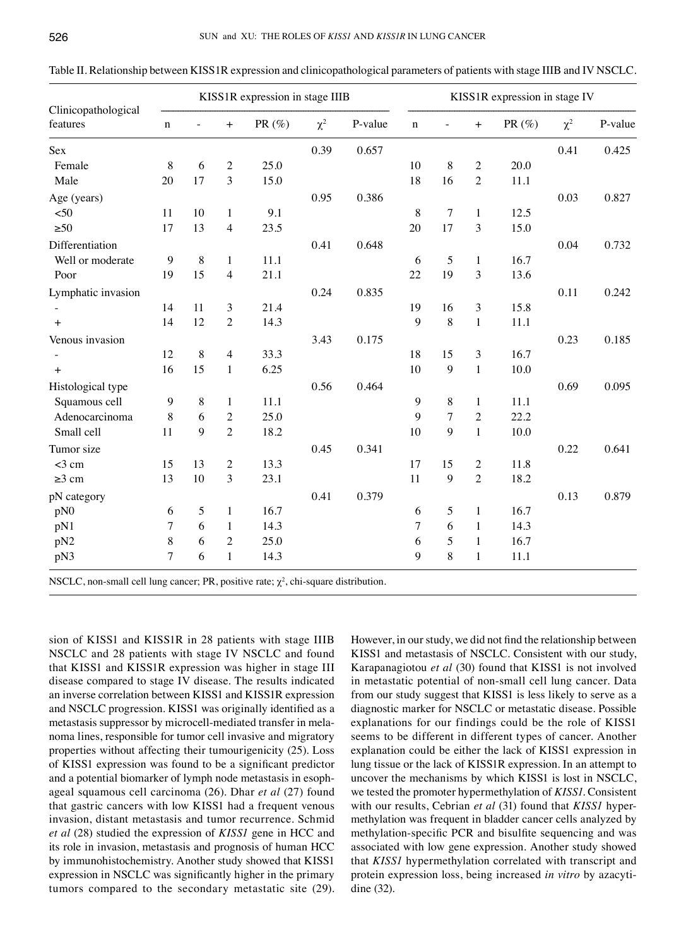| Clinicopathological<br>features                                                           | KISS1R expression in stage IIIB |         |                          |           |          | KISS1R expression in stage IV |             |                  |                |           |          |         |
|-------------------------------------------------------------------------------------------|---------------------------------|---------|--------------------------|-----------|----------|-------------------------------|-------------|------------------|----------------|-----------|----------|---------|
|                                                                                           | $\mathbf n$                     |         | $+$                      | PR $(\%)$ | $\chi^2$ | P-value                       | $\mathbf n$ |                  | $+$            | PR $(\%)$ | $\chi^2$ | P-value |
| Sex                                                                                       |                                 |         |                          |           | 0.39     | 0.657                         |             |                  |                |           | 0.41     | 0.425   |
| Female                                                                                    | $8\,$                           | 6       | $\overline{c}$           | 25.0      |          |                               | 10          | 8                | $\sqrt{2}$     | 20.0      |          |         |
| Male                                                                                      | 20                              | 17      | 3                        | 15.0      |          |                               | 18          | 16               | $\overline{2}$ | 11.1      |          |         |
| Age (years)                                                                               |                                 |         |                          |           | 0.95     | 0.386                         |             |                  |                |           | 0.03     | 0.827   |
| $50$                                                                                      | 11                              | 10      | $\mathbf{1}$             | 9.1       |          |                               | $8\,$       | 7                | $\mathbf{1}$   | 12.5      |          |         |
| $\geq 50$                                                                                 | 17                              | 13      | $\overline{\mathcal{A}}$ | 23.5      |          |                               | 20          | 17               | 3              | 15.0      |          |         |
| Differentiation                                                                           |                                 |         |                          |           | 0.41     | 0.648                         |             |                  |                |           | 0.04     | 0.732   |
| Well or moderate                                                                          | 9                               | 8       | 1                        | $11.1\,$  |          |                               | 6           | 5                | 1              | 16.7      |          |         |
| Poor                                                                                      | 19                              | 15      | $\overline{4}$           | 21.1      |          |                               | 22          | 19               | 3              | 13.6      |          |         |
| Lymphatic invasion                                                                        |                                 |         |                          |           | 0.24     | 0.835                         |             |                  |                |           | 0.11     | 0.242   |
|                                                                                           | 14                              | 11      | $\mathfrak{Z}$           | 21.4      |          |                               | 19          | 16               | $\mathfrak{Z}$ | 15.8      |          |         |
| $+$                                                                                       | 14                              | 12      | $\overline{2}$           | 14.3      |          |                               | 9           | 8                | $\mathbf{1}$   | 11.1      |          |         |
| Venous invasion                                                                           |                                 |         |                          |           | 3.43     | 0.175                         |             |                  |                |           | 0.23     | 0.185   |
|                                                                                           | 12                              | 8       | $\overline{4}$           | 33.3      |          |                               | 18          | 15               | 3              | 16.7      |          |         |
| $+$                                                                                       | 16                              | 15      | $\mathbf{1}$             | 6.25      |          |                               | 10          | $\boldsymbol{9}$ | $\mathbf{1}$   | 10.0      |          |         |
| Histological type                                                                         |                                 |         |                          |           | 0.56     | 0.464                         |             |                  |                |           | 0.69     | 0.095   |
| Squamous cell                                                                             | 9                               | $\,8\,$ | $\mathbf{1}$             | 11.1      |          |                               | 9           | 8                | $\mathbf{1}$   | 11.1      |          |         |
| Adenocarcinoma                                                                            | 8                               | 6       | $\sqrt{2}$               | 25.0      |          |                               | 9           | 7                | $\mathbf{2}$   | 22.2      |          |         |
| Small cell                                                                                | 11                              | 9       | $\overline{2}$           | 18.2      |          |                               | 10          | 9                | $\mathbf{1}$   | 10.0      |          |         |
| Tumor size                                                                                |                                 |         |                          |           | 0.45     | 0.341                         |             |                  |                |           | 0.22     | 0.641   |
| $<$ 3 cm                                                                                  | 15                              | 13      | $\boldsymbol{2}$         | 13.3      |          |                               | 17          | 15               | $\mathbf{2}$   | 11.8      |          |         |
| $\geq$ 3 cm                                                                               | 13                              | 10      | $\overline{3}$           | 23.1      |          |                               | 11          | 9                | $\overline{2}$ | 18.2      |          |         |
| pN category                                                                               |                                 |         |                          |           | 0.41     | 0.379                         |             |                  |                |           | 0.13     | 0.879   |
| pN0                                                                                       | 6                               | 5       | 1                        | 16.7      |          |                               | 6           | 5                | 1              | 16.7      |          |         |
| pN1                                                                                       | 7                               | 6       | 1                        | 14.3      |          |                               | 7           | 6                | $\mathbf{1}$   | 14.3      |          |         |
| pN <sub>2</sub>                                                                           | 8                               | 6       | $\overline{2}$           | 25.0      |          |                               | 6           | 5                | $\mathbf{1}$   | 16.7      |          |         |
| pN3                                                                                       | $\overline{7}$                  | 6       | $\mathbf{1}$             | 14.3      |          |                               | 9           | 8                | $\mathbf{1}$   | 11.1      |          |         |
| NSCLC, non-small cell lung cancer; PR, positive rate; $\chi^2$ , chi-square distribution. |                                 |         |                          |           |          |                               |             |                  |                |           |          |         |

Table II. Relationship between KISS1R expression and clinicopathological parameters of patients with stage IIIB and IV NSCLC.

sion of KISS1 and KISS1R in 28 patients with stage IIIB NSCLC and 28 patients with stage IV NSCLC and found that KISS1 and KISS1R expression was higher in stage III disease compared to stage IV disease. The results indicated an inverse correlation between KISS1 and KISS1R expression and NSCLC progression. KISS1 was originally identified as a metastasis suppressor by microcell-mediated transfer in melanoma lines, responsible for tumor cell invasive and migratory properties without affecting their tumourigenicity (25). Loss of KISS1 expression was found to be a significant predictor and a potential biomarker of lymph node metastasis in esophageal squamous cell carcinoma (26). Dhar *et al* (27) found that gastric cancers with low KISS1 had a frequent venous invasion, distant metastasis and tumor recurrence. Schmid *et al* (28) studied the expression of *KISS1* gene in HCC and its role in invasion, metastasis and prognosis of human HCC by immunohistochemistry. Another study showed that KISS1 expression in NSCLC was significantly higher in the primary tumors compared to the secondary metastatic site (29). However, in our study, we did not find the relationship between KISS1 and metastasis of NSCLC. Consistent with our study, Karapanagiotou *et al* (30) found that KISS1 is not involved in metastatic potential of non-small cell lung cancer. Data from our study suggest that KISS1 is less likely to serve as a diagnostic marker for NSCLC or metastatic disease. Possible explanations for our findings could be the role of KISS1 seems to be different in different types of cancer. Another explanation could be either the lack of KISS1 expression in lung tissue or the lack of KISS1R expression. In an attempt to uncover the mechanisms by which KISS1 is lost in NSCLC, we tested the promoter hypermethylation of *KISS1*. Consistent with our results, Cebrian *et al* (31) found that *KISS1* hypermethylation was frequent in bladder cancer cells analyzed by methylation-specific PCR and bisulfite sequencing and was associated with low gene expression. Another study showed that *KISS1* hypermethylation correlated with transcript and protein expression loss, being increased *in vitro* by azacytidine (32).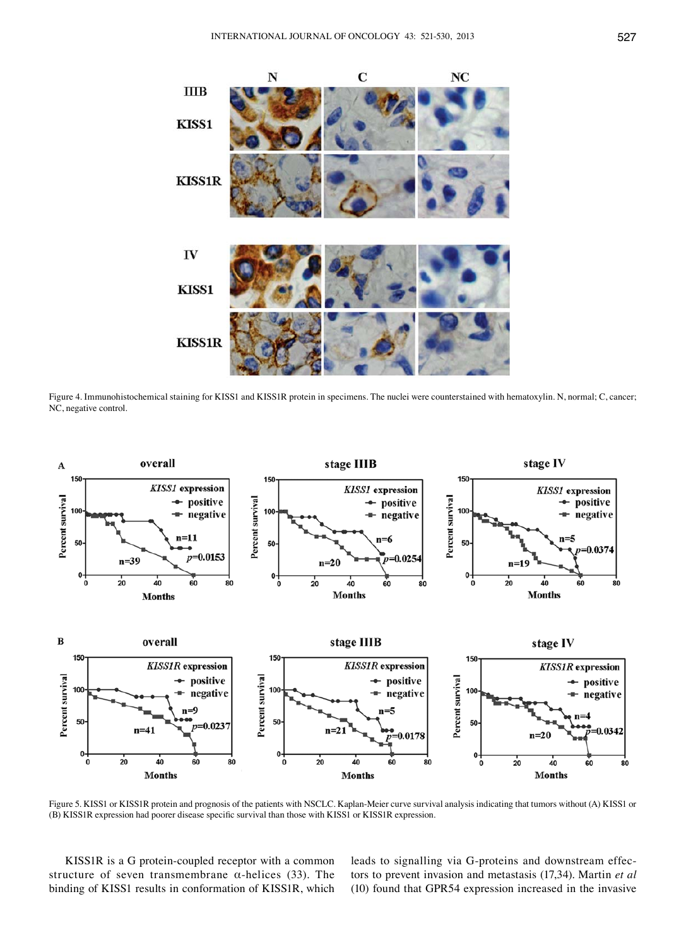

Figure 4. Immunohistochemical staining for KISS1 and KISS1R protein in specimens. The nuclei were counterstained with hematoxylin. N, normal; C, cancer; NC, negative control.



Figure 5. KISS1 or KISS1R protein and prognosis of the patients with NSCLC. Kaplan-Meier curve survival analysis indicating that tumors without (A) KISS1 or (B) KISS1R expression had poorer disease specific survival than those with KISS1 or KISS1R expression.

KISS1R is a G protein-coupled receptor with a common structure of seven transmembrane  $\alpha$ -helices (33). The binding of KISS1 results in conformation of KISS1R, which leads to signalling via G-proteins and downstream effectors to prevent invasion and metastasis (17,34). Martin *et al* (10) found that GPR54 expression increased in the invasive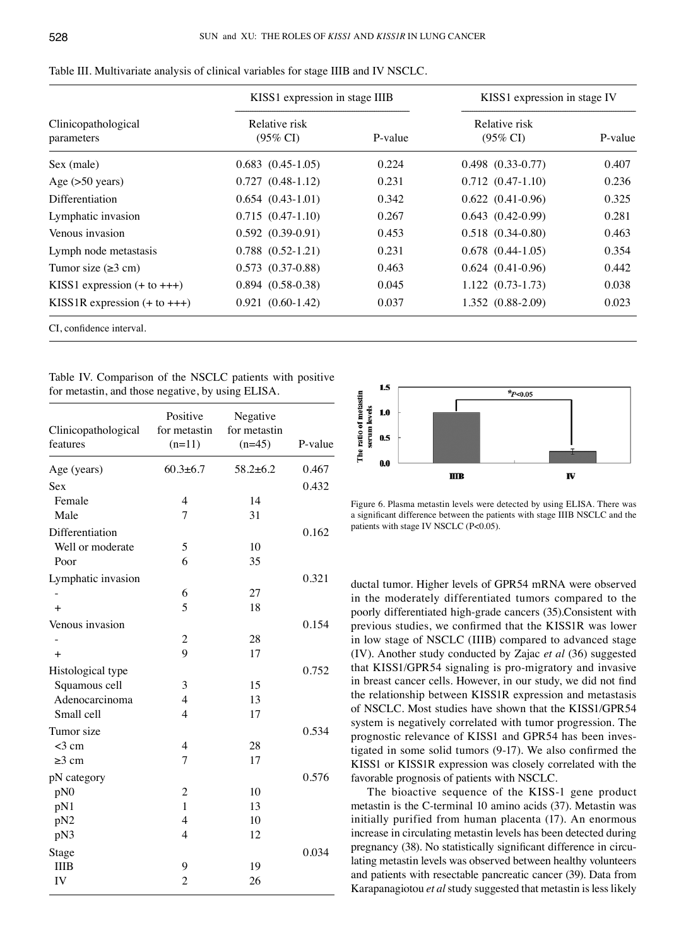|                                   | KISS1 expression in stage IIIB       |         | KISS1 expression in stage IV         |         |  |
|-----------------------------------|--------------------------------------|---------|--------------------------------------|---------|--|
| Clinicopathological<br>parameters | Relative risk<br>$(95\% \text{ CI})$ | P-value | Relative risk<br>$(95\% \text{ CI})$ | P-value |  |
| Sex (male)                        | $0.683$ $(0.45-1.05)$                | 0.224   | $0.498$ $(0.33-0.77)$                | 0.407   |  |
| Age $(>50$ years)                 | $0.727(0.48-1.12)$                   | 0.231   | $0.712(0.47-1.10)$                   | 0.236   |  |
| <b>Differentiation</b>            | $0.654(0.43-1.01)$                   | 0.342   | $0.622$ $(0.41-0.96)$                | 0.325   |  |
| Lymphatic invasion                | $0.715(0.47-1.10)$                   | 0.267   | $0.643$ $(0.42-0.99)$                | 0.281   |  |
| Venous invasion                   | $0.592(0.39-0.91)$                   | 0.453   | $0.518$ $(0.34-0.80)$                | 0.463   |  |
| Lymph node metastasis             | $0.788$ $(0.52-1.21)$                | 0.231   | $0.678$ $(0.44-1.05)$                | 0.354   |  |
| Tumor size $(\geq 3$ cm)          | $0.573$ $(0.37-0.88)$                | 0.463   | $0.624$ $(0.41-0.96)$                | 0.442   |  |
| KISS1 expression $(+ to +++)$     | $0.894(0.58-0.38)$                   | 0.045   | $1.122(0.73-1.73)$                   | 0.038   |  |
| KISS1R expression $(+ to +++)$    | $0.921(0.60-1.42)$                   | 0.037   | 1.352 (0.88-2.09)                    | 0.023   |  |
| CI, confidence interval.          |                                      |         |                                      |         |  |

| Table III. Multivariate analysis of clinical variables for stage IIIB and IV NSCLC. |  |
|-------------------------------------------------------------------------------------|--|
|-------------------------------------------------------------------------------------|--|

Table IV. Comparison of the NSCLC patients with positive for metastin, and those negative, by using ELISA.

| Clinicopathological<br>features | Positive<br>for metastin<br>$(n=11)$ | Negative<br>for metastin<br>$(n=45)$ | P-value |
|---------------------------------|--------------------------------------|--------------------------------------|---------|
| Age (years)                     | $60.3 \pm 6.7$                       | $58.2 \pm 6.2$                       | 0.467   |
| Sex                             |                                      |                                      | 0.432   |
| Female                          | $\overline{4}$                       | 14                                   |         |
| Male                            | 7                                    | 31                                   |         |
| Differentiation                 |                                      |                                      | 0.162   |
| Well or moderate                | 5                                    | 10                                   |         |
| Poor                            | 6                                    | 35                                   |         |
| Lymphatic invasion              |                                      |                                      | 0.321   |
|                                 | 6                                    | 27                                   |         |
| $+$                             | 5                                    | 18                                   |         |
| Venous invasion                 |                                      |                                      | 0.154   |
|                                 | $\overline{2}$                       | 28                                   |         |
| $+$                             | $\overline{9}$                       | 17                                   |         |
| Histological type               |                                      |                                      | 0.752   |
| Squamous cell                   | 3                                    | 15                                   |         |
| Adenocarcinoma                  | $\overline{4}$                       | 13                                   |         |
| Small cell                      | $\overline{4}$                       | 17                                   |         |
| Tumor size                      |                                      |                                      | 0.534   |
| $<$ 3 cm                        | 4                                    | 28                                   |         |
| $\geq$ 3 cm                     | 7                                    | 17                                   |         |
| pN category                     |                                      |                                      | 0.576   |
| pN0                             | $\overline{c}$                       | 10                                   |         |
| pN1                             | $\mathbf{1}$                         | 13                                   |         |
| pN <sub>2</sub>                 | $\overline{4}$                       | 10                                   |         |
| pN3                             | $\overline{4}$                       | 12                                   |         |
| Stage                           |                                      |                                      | 0.034   |
| <b>IIIB</b>                     | 9                                    | 19                                   |         |
| IV                              | $\overline{c}$                       | 26                                   |         |



Figure 6. Plasma metastin levels were detected by using ELISA. There was a significant difference between the patients with stage IIIB NSCLC and the patients with stage IV NSCLC (P<0.05).

ductal tumor. Higher levels of GPR54 mRNA were observed in the moderately differentiated tumors compared to the poorly differentiated high-grade cancers (35).Consistent with previous studies, we confirmed that the KISS1R was lower in low stage of NSCLC (IIIB) compared to advanced stage (IV). Another study conducted by Zajac *et al* (36) suggested that KISS1/GPR54 signaling is pro-migratory and invasive in breast cancer cells. However, in our study, we did not find the relationship between KISS1R expression and metastasis of NSCLC. Most studies have shown that the KISS1/GPR54 system is negatively correlated with tumor progression. The prognostic relevance of KISS1 and GPR54 has been investigated in some solid tumors (9-17). We also confirmed the KISS1 or KISS1R expression was closely correlated with the favorable prognosis of patients with NSCLC.

The bioactive sequence of the KISS-1 gene product metastin is the C-terminal 10 amino acids (37). Metastin was initially purified from human placenta (17). An enormous increase in circulating metastin levels has been detected during pregnancy (38). No statistically significant difference in circulating metastin levels was observed between healthy volunteers and patients with resectable pancreatic cancer (39). Data from Karapanagiotou *et al* study suggested that metastin is less likely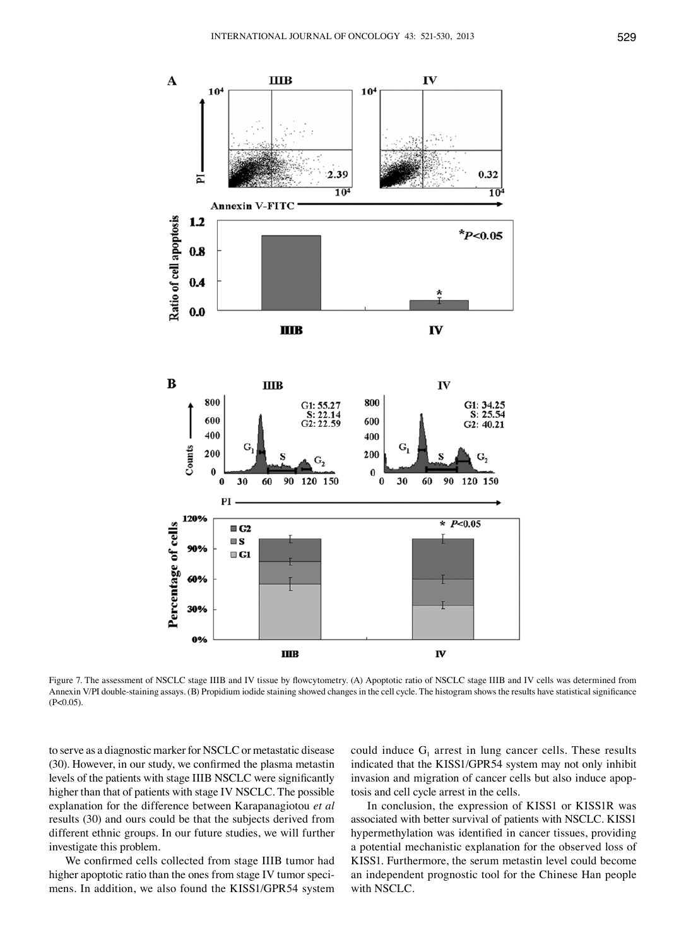

Figure 7. The assessment of NSCLC stage IIIB and IV tissue by flowcytometry. (A) Apoptotic ratio of NSCLC stage IIIB and IV cells was determined from Annexin V/PI double-staining assays. (B) Propidium iodide staining showed changes in the cell cycle. The histogram shows the results have statistical significance  $(P<0.05)$ .

to serve as a diagnostic marker for NSCLC or metastatic disease (30). However, in our study, we confirmed the plasma metastin levels of the patients with stage IIIB NSCLC were significantly higher than that of patients with stage IV NSCLC. The possible explanation for the difference between Karapanagiotou *et al* results (30) and ours could be that the subjects derived from different ethnic groups. In our future studies, we will further investigate this problem.

We confirmed cells collected from stage IIIB tumor had higher apoptotic ratio than the ones from stage IV tumor specimens. In addition, we also found the KISS1/GPR54 system could induce  $G_1$  arrest in lung cancer cells. These results indicated that the KISS1/GPR54 system may not only inhibit invasion and migration of cancer cells but also induce apoptosis and cell cycle arrest in the cells.

In conclusion, the expression of KISS1 or KISS1R was associated with better survival of patients with NSCLC. KISS1 hypermethylation was identified in cancer tissues, providing a potential mechanistic explanation for the observed loss of KISS1. Furthermore, the serum metastin level could become an independent prognostic tool for the Chinese Han people with NSCLC.